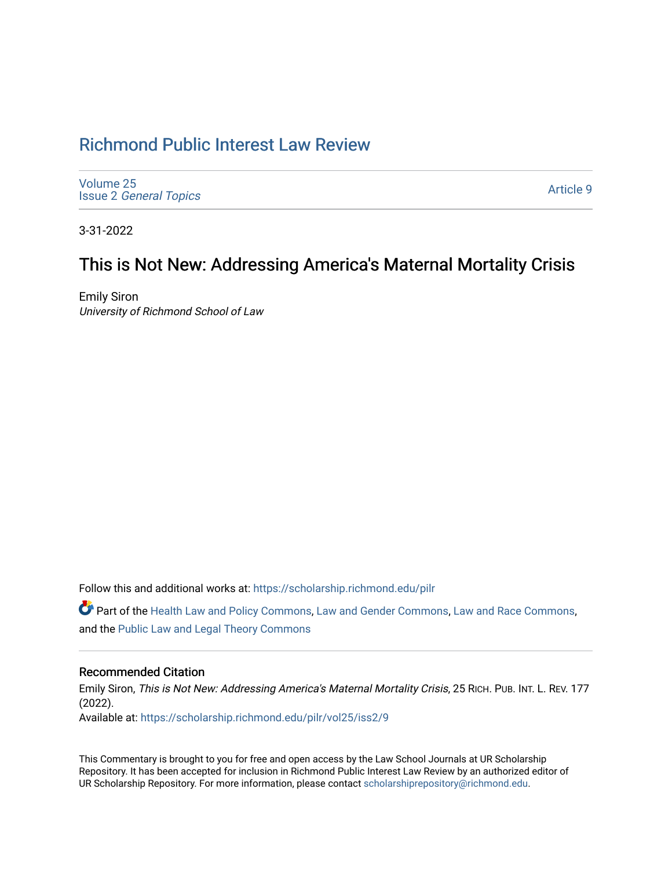# [Richmond Public Interest Law Review](https://scholarship.richmond.edu/pilr)

[Volume 25](https://scholarship.richmond.edu/pilr/vol25) Issue 2 [General Topics](https://scholarship.richmond.edu/pilr/vol25/iss2) 

[Article 9](https://scholarship.richmond.edu/pilr/vol25/iss2/9) 

3-31-2022

# This is Not New: Addressing America's Maternal Mortality Crisis

Emily Siron University of Richmond School of Law

Follow this and additional works at: [https://scholarship.richmond.edu/pilr](https://scholarship.richmond.edu/pilr?utm_source=scholarship.richmond.edu%2Fpilr%2Fvol25%2Fiss2%2F9&utm_medium=PDF&utm_campaign=PDFCoverPages) 

Part of the [Health Law and Policy Commons](http://network.bepress.com/hgg/discipline/901?utm_source=scholarship.richmond.edu%2Fpilr%2Fvol25%2Fiss2%2F9&utm_medium=PDF&utm_campaign=PDFCoverPages), [Law and Gender Commons,](http://network.bepress.com/hgg/discipline/1298?utm_source=scholarship.richmond.edu%2Fpilr%2Fvol25%2Fiss2%2F9&utm_medium=PDF&utm_campaign=PDFCoverPages) [Law and Race Commons,](http://network.bepress.com/hgg/discipline/1300?utm_source=scholarship.richmond.edu%2Fpilr%2Fvol25%2Fiss2%2F9&utm_medium=PDF&utm_campaign=PDFCoverPages) and the [Public Law and Legal Theory Commons](http://network.bepress.com/hgg/discipline/871?utm_source=scholarship.richmond.edu%2Fpilr%2Fvol25%2Fiss2%2F9&utm_medium=PDF&utm_campaign=PDFCoverPages)

## Recommended Citation

Emily Siron, This is Not New: Addressing America's Maternal Mortality Crisis, 25 RICH. PUB. INT. L. REV. 177 (2022). Available at: [https://scholarship.richmond.edu/pilr/vol25/iss2/9](https://scholarship.richmond.edu/pilr/vol25/iss2/9?utm_source=scholarship.richmond.edu%2Fpilr%2Fvol25%2Fiss2%2F9&utm_medium=PDF&utm_campaign=PDFCoverPages)

This Commentary is brought to you for free and open access by the Law School Journals at UR Scholarship

Repository. It has been accepted for inclusion in Richmond Public Interest Law Review by an authorized editor of UR Scholarship Repository. For more information, please contact [scholarshiprepository@richmond.edu](mailto:scholarshiprepository@richmond.edu).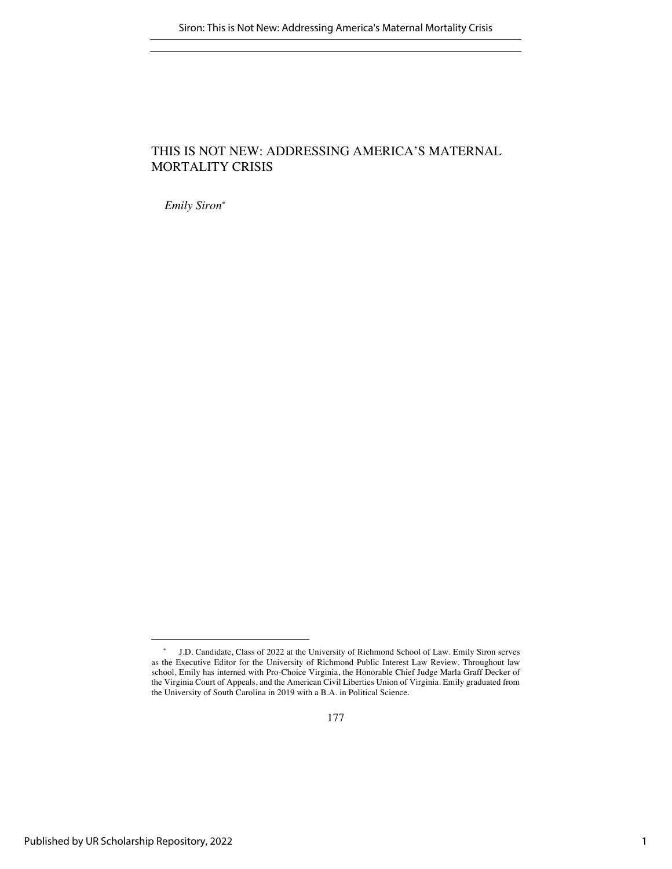## THIS IS NOT NEW: ADDRESSING AMERICA'S MATERNAL MORTALITY CRISIS

*Emily Siron*\*

<sup>\*</sup> J.D. Candidate, Class of 2022 at the University of Richmond School of Law. Emily Siron serves as the Executive Editor for the University of Richmond Public Interest Law Review. Throughout law school, Emily has interned with Pro-Choice Virginia, the Honorable Chief Judge Marla Graff Decker of the Virginia Court of Appeals, and the American Civil Liberties Union of Virginia. Emily graduated from the University of South Carolina in 2019 with a B.A. in Political Science.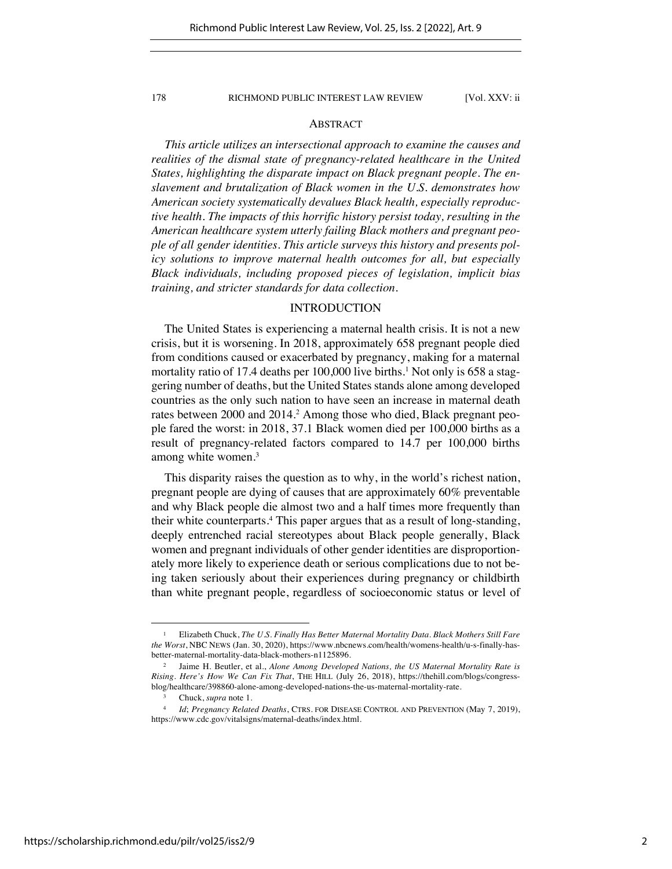## ABSTRACT

*This article utilizes an intersectional approach to examine the causes and realities of the dismal state of pregnancy-related healthcare in the United States, highlighting the disparate impact on Black pregnant people. The enslavement and brutalization of Black women in the U.S. demonstrates how American society systematically devalues Black health, especially reproductive health. The impacts of this horrific history persist today, resulting in the American healthcare system utterly failing Black mothers and pregnant people of all gender identities. This article surveys this history and presents policy solutions to improve maternal health outcomes for all, but especially Black individuals, including proposed pieces of legislation, implicit bias training, and stricter standards for data collection.*

## INTRODUCTION

The United States is experiencing a maternal health crisis. It is not a new crisis, but it is worsening. In 2018, approximately 658 pregnant people died from conditions caused or exacerbated by pregnancy, making for a maternal mortality ratio of 17.4 deaths per 100,000 live births.<sup>1</sup> Not only is 658 a staggering number of deaths, but the United States stands alone among developed countries as the only such nation to have seen an increase in maternal death rates between 2000 and 2014.<sup>2</sup> Among those who died, Black pregnant people fared the worst: in 2018, 37.1 Black women died per 100,000 births as a result of pregnancy-related factors compared to 14.7 per 100,000 births among white women.<sup>3</sup>

This disparity raises the question as to why, in the world's richest nation, pregnant people are dying of causes that are approximately 60% preventable and why Black people die almost two and a half times more frequently than their white counterparts.4 This paper argues that as a result of long-standing, deeply entrenched racial stereotypes about Black people generally, Black women and pregnant individuals of other gender identities are disproportionately more likely to experience death or serious complications due to not being taken seriously about their experiences during pregnancy or childbirth than white pregnant people, regardless of socioeconomic status or level of

<sup>1</sup> Elizabeth Chuck, *The U.S. Finally Has Better Maternal Mortality Data. Black Mothers Still Fare the Worst*, NBC NEWS (Jan. 30, 2020), https://www.nbcnews.com/health/womens-health/u-s-finally-hasbetter-maternal-mortality-data-black-mothers-n1125896.

<sup>2</sup> Jaime H. Beutler, et al., *Alone Among Developed Nations, the US Maternal Mortality Rate is Rising. Here's How We Can Fix That*, THE HILL (July 26, 2018), https://thehill.com/blogs/congressblog/healthcare/398860-alone-among-developed-nations-the-us-maternal-mortality-rate.

<sup>3</sup> Chuck, *supra* note 1.

<sup>4</sup> *Id*; *Pregnancy Related Deaths*, CTRS. FOR DISEASE CONTROL AND PREVENTION (May 7, 2019), https://www.cdc.gov/vitalsigns/maternal-deaths/index.html.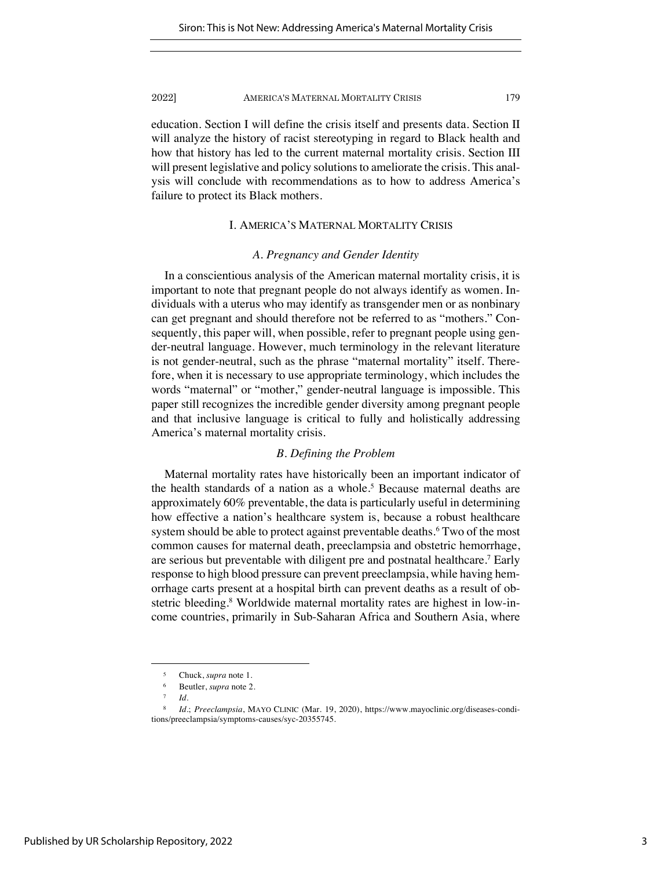education. Section I will define the crisis itself and presents data. Section II will analyze the history of racist stereotyping in regard to Black health and how that history has led to the current maternal mortality crisis. Section III will present legislative and policy solutions to ameliorate the crisis. This analysis will conclude with recommendations as to how to address America's failure to protect its Black mothers.

## I. AMERICA'S MATERNAL MORTALITY CRISIS

## *A. Pregnancy and Gender Identity*

In a conscientious analysis of the American maternal mortality crisis, it is important to note that pregnant people do not always identify as women. Individuals with a uterus who may identify as transgender men or as nonbinary can get pregnant and should therefore not be referred to as "mothers." Consequently, this paper will, when possible, refer to pregnant people using gender-neutral language. However, much terminology in the relevant literature is not gender-neutral, such as the phrase "maternal mortality" itself. Therefore, when it is necessary to use appropriate terminology, which includes the words "maternal" or "mother," gender-neutral language is impossible. This paper still recognizes the incredible gender diversity among pregnant people and that inclusive language is critical to fully and holistically addressing America's maternal mortality crisis.

## *B. Defining the Problem*

Maternal mortality rates have historically been an important indicator of the health standards of a nation as a whole.<sup>5</sup> Because maternal deaths are approximately 60% preventable, the data is particularly useful in determining how effective a nation's healthcare system is, because a robust healthcare system should be able to protect against preventable deaths.<sup>6</sup> Two of the most common causes for maternal death, preeclampsia and obstetric hemorrhage, are serious but preventable with diligent pre and postnatal healthcare.7 Early response to high blood pressure can prevent preeclampsia, while having hemorrhage carts present at a hospital birth can prevent deaths as a result of obstetric bleeding.<sup>8</sup> Worldwide maternal mortality rates are highest in low-income countries, primarily in Sub-Saharan Africa and Southern Asia, where

<sup>5</sup> Chuck, *supra* note 1.

<sup>6</sup> Beutler, *supra* note 2.

<sup>7</sup> *Id.*

<sup>8</sup> *Id*.; *Preeclampsia*, MAYO CLINIC (Mar. 19, 2020), https://www.mayoclinic.org/diseases-conditions/preeclampsia/symptoms-causes/syc-20355745.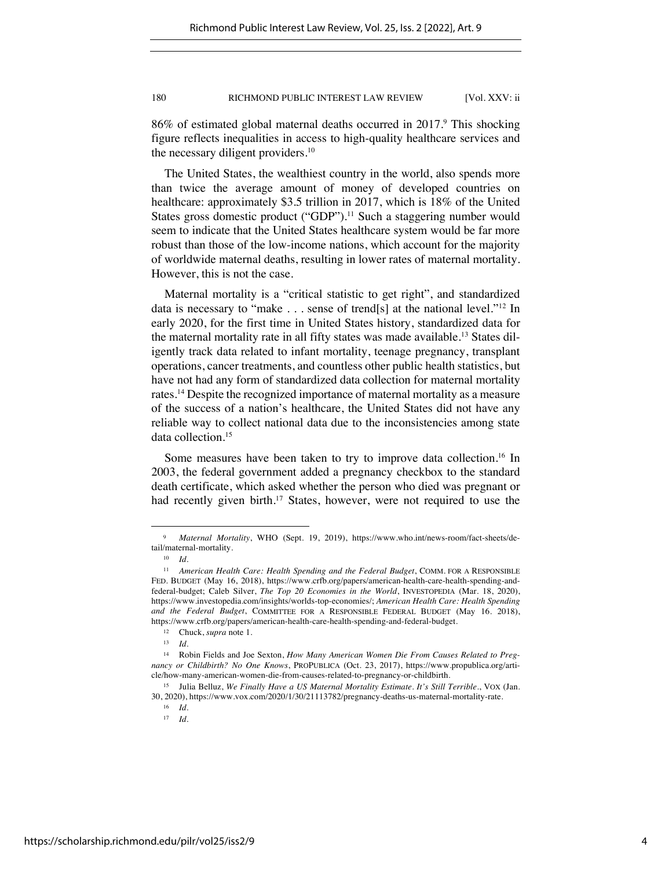86% of estimated global maternal deaths occurred in 2017. This shocking figure reflects inequalities in access to high-quality healthcare services and the necessary diligent providers.<sup>10</sup>

The United States, the wealthiest country in the world, also spends more than twice the average amount of money of developed countries on healthcare: approximately \$3.5 trillion in 2017, which is 18% of the United States gross domestic product ("GDP").<sup>11</sup> Such a staggering number would seem to indicate that the United States healthcare system would be far more robust than those of the low-income nations, which account for the majority of worldwide maternal deaths, resulting in lower rates of maternal mortality. However, this is not the case.

Maternal mortality is a "critical statistic to get right", and standardized data is necessary to "make . . . sense of trend[s] at the national level."12 In early 2020, for the first time in United States history, standardized data for the maternal mortality rate in all fifty states was made available.<sup>13</sup> States diligently track data related to infant mortality, teenage pregnancy, transplant operations, cancer treatments, and countless other public health statistics, but have not had any form of standardized data collection for maternal mortality rates.14 Despite the recognized importance of maternal mortality as a measure of the success of a nation's healthcare, the United States did not have any reliable way to collect national data due to the inconsistencies among state data collection.15

Some measures have been taken to try to improve data collection.<sup>16</sup> In 2003, the federal government added a pregnancy checkbox to the standard death certificate, which asked whether the person who died was pregnant or had recently given birth.<sup>17</sup> States, however, were not required to use the

<sup>9</sup> *Maternal Mortality*, WHO (Sept. 19, 2019), https://www.who.int/news-room/fact-sheets/detail/maternal-mortality.

<sup>10</sup> *Id.*

<sup>11</sup> *American Health Care: Health Spending and the Federal Budget*, COMM. FOR A RESPONSIBLE FED. BUDGET (May 16, 2018), https://www.crfb.org/papers/american-health-care-health-spending-andfederal-budget; Caleb Silver, *The Top 20 Economies in the World*, INVESTOPEDIA (Mar. 18, 2020), https://www.investopedia.com/insights/worlds-top-economies/; *American Health Care: Health Spending and the Federal Budget*, COMMITTEE FOR A RESPONSIBLE FEDERAL BUDGET (May 16. 2018), https://www.crfb.org/papers/american-health-care-health-spending-and-federal-budget.

<sup>12</sup> Chuck, *supra* note 1.

<sup>13</sup> *Id.*

<sup>14</sup> Robin Fields and Joe Sexton, *How Many American Women Die From Causes Related to Pregnancy or Childbirth? No One Knows*, PROPUBLICA (Oct. 23, 2017), https://www.propublica.org/article/how-many-american-women-die-from-causes-related-to-pregnancy-or-childbirth.

<sup>15</sup> Julia Belluz, *We Finally Have a US Maternal Mortality Estimate. It's Still Terrible.*, VOX (Jan. 30, 2020), https://www.vox.com/2020/1/30/21113782/pregnancy-deaths-us-maternal-mortality-rate.

<sup>16</sup> *Id.*

<sup>17</sup> *Id*.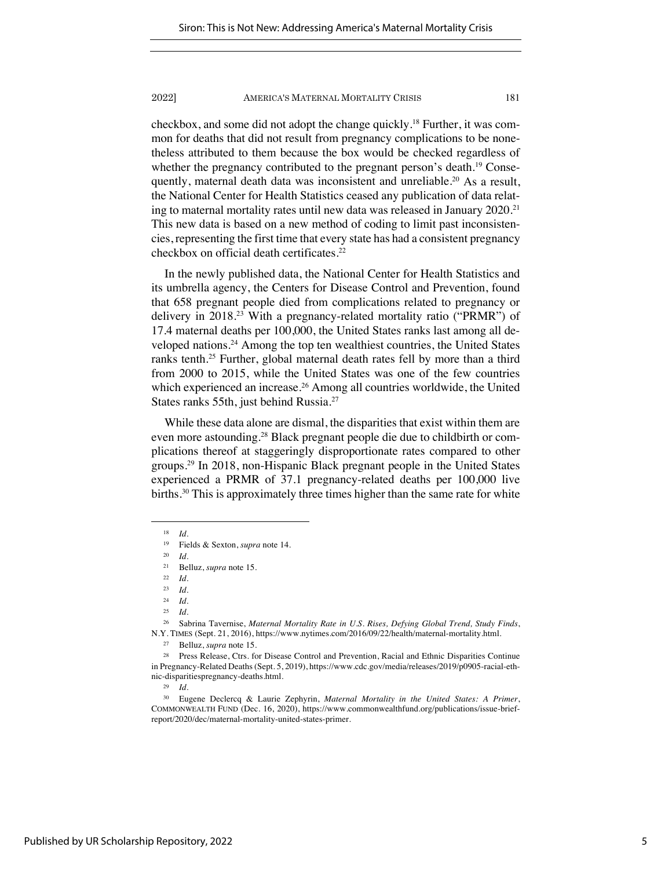checkbox, and some did not adopt the change quickly.18 Further, it was common for deaths that did not result from pregnancy complications to be nonetheless attributed to them because the box would be checked regardless of whether the pregnancy contributed to the pregnant person's death.<sup>19</sup> Consequently, maternal death data was inconsistent and unreliable.<sup>20</sup> As a result, the National Center for Health Statistics ceased any publication of data relating to maternal mortality rates until new data was released in January 2020.<sup>21</sup> This new data is based on a new method of coding to limit past inconsistencies, representing the first time that every state has had a consistent pregnancy checkbox on official death certificates.<sup>22</sup>

In the newly published data, the National Center for Health Statistics and its umbrella agency, the Centers for Disease Control and Prevention, found that 658 pregnant people died from complications related to pregnancy or delivery in 2018.23 With a pregnancy-related mortality ratio ("PRMR") of 17.4 maternal deaths per 100,000, the United States ranks last among all developed nations.24 Among the top ten wealthiest countries, the United States ranks tenth.<sup>25</sup> Further, global maternal death rates fell by more than a third from 2000 to 2015, while the United States was one of the few countries which experienced an increase.<sup>26</sup> Among all countries worldwide, the United States ranks 55th, just behind Russia.27

While these data alone are dismal, the disparities that exist within them are even more astounding.28 Black pregnant people die due to childbirth or complications thereof at staggeringly disproportionate rates compared to other groups.29 In 2018, non-Hispanic Black pregnant people in the United States experienced a PRMR of 37.1 pregnancy-related deaths per 100,000 live births.30 This is approximately three times higher than the same rate for white

<sup>29</sup> *Id.*

<sup>18</sup> *Id*.

<sup>19</sup> Fields & Sexton, *supra* note 14.

<sup>20</sup> *Id.*

<sup>21</sup> Belluz, *supra* note 15.

<sup>22</sup> *Id*.

<sup>23</sup> *Id.*

<sup>24</sup> *Id.*

<sup>25</sup> *Id*.

<sup>26</sup> Sabrina Tavernise, *Maternal Mortality Rate in U.S. Rises, Defying Global Trend, Study Finds*, N.Y. TIMES (Sept. 21, 2016), https://www.nytimes.com/2016/09/22/health/maternal-mortality.html.

<sup>27</sup> Belluz, *supra* note 15.

<sup>&</sup>lt;sup>28</sup> Press Release, Ctrs. for Disease Control and Prevention, Racial and Ethnic Disparities Continue in Pregnancy-Related Deaths (Sept. 5, 2019), https://www.cdc.gov/media/releases/2019/p0905-racial-ethnic-disparitiespregnancy-deaths.html.

<sup>30</sup> Eugene Declercq & Laurie Zephyrin, *Maternal Mortality in the United States: A Primer*, COMMONWEALTH FUND (Dec. 16, 2020), https://www.commonwealthfund.org/publications/issue-briefreport/2020/dec/maternal-mortality-united-states-primer.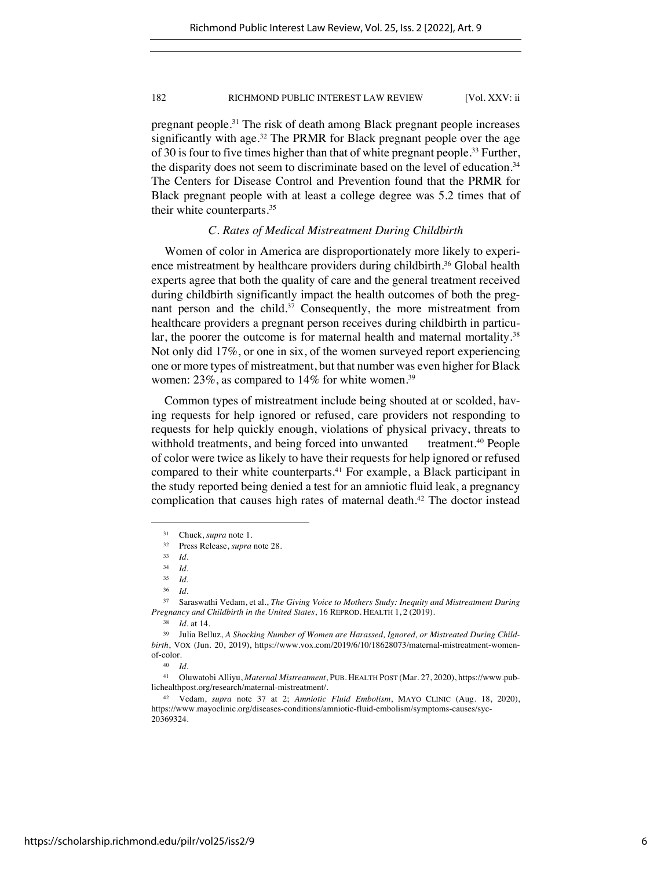pregnant people.31 The risk of death among Black pregnant people increases significantly with age.<sup>32</sup> The PRMR for Black pregnant people over the age of 30 is four to five times higher than that of white pregnant people.<sup>33</sup> Further, the disparity does not seem to discriminate based on the level of education.<sup>34</sup> The Centers for Disease Control and Prevention found that the PRMR for Black pregnant people with at least a college degree was 5.2 times that of their white counterparts.35

## *C. Rates of Medical Mistreatment During Childbirth*

Women of color in America are disproportionately more likely to experience mistreatment by healthcare providers during childbirth.<sup>36</sup> Global health experts agree that both the quality of care and the general treatment received during childbirth significantly impact the health outcomes of both the pregnant person and the child.<sup>37</sup> Consequently, the more mistreatment from healthcare providers a pregnant person receives during childbirth in particular, the poorer the outcome is for maternal health and maternal mortality.<sup>38</sup> Not only did 17%, or one in six, of the women surveyed report experiencing one or more types of mistreatment, but that number was even higher for Black women: 23%, as compared to 14% for white women.<sup>39</sup>

Common types of mistreatment include being shouted at or scolded, having requests for help ignored or refused, care providers not responding to requests for help quickly enough, violations of physical privacy, threats to withhold treatments, and being forced into unwanted treatment.<sup>40</sup> People of color were twice as likely to have their requests for help ignored or refused compared to their white counterparts.41 For example, a Black participant in the study reported being denied a test for an amniotic fluid leak, a pregnancy complication that causes high rates of maternal death.<sup>42</sup> The doctor instead

<sup>&</sup>lt;sup>31</sup> Chuck, *supra* note 1.<br><sup>32</sup> Press Release *supra* 

<sup>32</sup> Press Release, *supra* note 28.

<sup>33</sup> *Id.*

 $\frac{34}{35}$  *Id.* 

<sup>35</sup> *Id*.

<sup>36</sup> *Id*.

<sup>37</sup> Saraswathi Vedam, et al., *The Giving Voice to Mothers Study: Inequity and Mistreatment During Pregnancy and Childbirth in the United States*, 16 REPROD. HEALTH 1, 2 (2019).

<sup>38</sup> *Id.* at 14.

<sup>39</sup> Julia Belluz, *A Shocking Number of Women are Harassed, Ignored, or Mistreated During Childbirth*, VOX (Jun. 20, 2019), https://www.vox.com/2019/6/10/18628073/maternal-mistreatment-womenof-color.

<sup>40</sup> *Id*.

<sup>41</sup> Oluwatobi Alliyu, *Maternal Mistreatment*, PUB. HEALTH POST (Mar. 27, 2020), https://www.publichealthpost.org/research/maternal-mistreatment/.

<sup>42</sup> Vedam, *supra* note 37 at 2; *Amniotic Fluid Embolism*, MAYO CLINIC (Aug. 18, 2020), https://www.mayoclinic.org/diseases-conditions/amniotic-fluid-embolism/symptoms-causes/syc-20369324.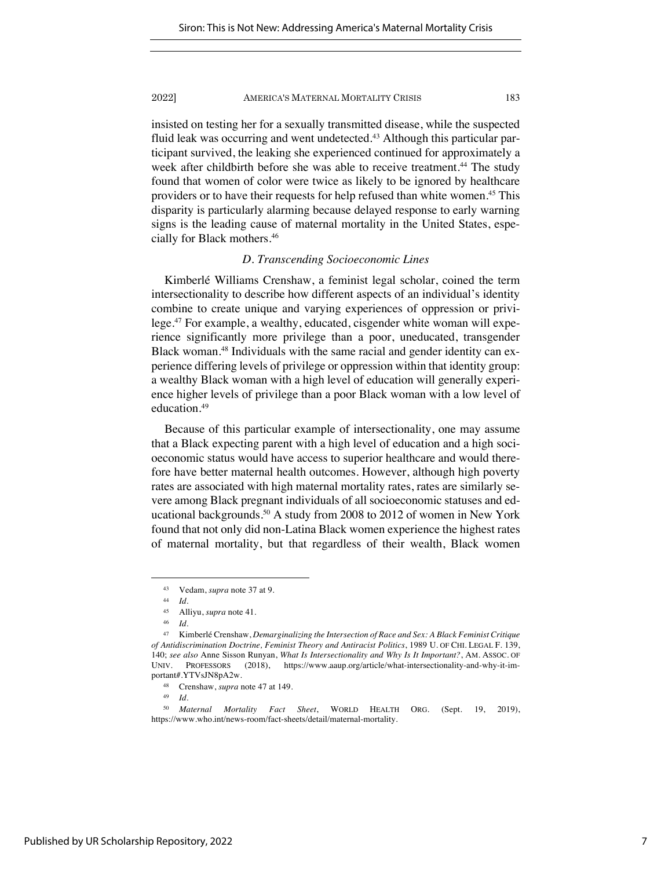insisted on testing her for a sexually transmitted disease, while the suspected fluid leak was occurring and went undetected.<sup>43</sup> Although this particular participant survived, the leaking she experienced continued for approximately a week after childbirth before she was able to receive treatment.<sup>44</sup> The study found that women of color were twice as likely to be ignored by healthcare providers or to have their requests for help refused than white women.45 This disparity is particularly alarming because delayed response to early warning signs is the leading cause of maternal mortality in the United States, especially for Black mothers.46

## *D. Transcending Socioeconomic Lines*

Kimberlé Williams Crenshaw, a feminist legal scholar, coined the term intersectionality to describe how different aspects of an individual's identity combine to create unique and varying experiences of oppression or privilege.47 For example, a wealthy, educated, cisgender white woman will experience significantly more privilege than a poor, uneducated, transgender Black woman.<sup>48</sup> Individuals with the same racial and gender identity can experience differing levels of privilege or oppression within that identity group: a wealthy Black woman with a high level of education will generally experience higher levels of privilege than a poor Black woman with a low level of education.49

Because of this particular example of intersectionality, one may assume that a Black expecting parent with a high level of education and a high socioeconomic status would have access to superior healthcare and would therefore have better maternal health outcomes. However, although high poverty rates are associated with high maternal mortality rates, rates are similarly severe among Black pregnant individuals of all socioeconomic statuses and educational backgrounds.<sup>50</sup> A study from 2008 to 2012 of women in New York found that not only did non-Latina Black women experience the highest rates of maternal mortality, but that regardless of their wealth, Black women

<sup>43</sup> Vedam, *supra* note 37 at 9.

<sup>44</sup> *Id.*

<sup>45</sup> Alliyu, *supra* note 41.

<sup>46</sup> *Id.*

<sup>47</sup> Kimberlé Crenshaw, *Demarginalizing the Intersection of Race and Sex: A Black Feminist Critique of Antidiscrimination Doctrine, Feminist Theory and Antiracist Politics*, 1989 U. OF CHI. LEGAL F. 139, 140; *see also* Anne Sisson Runyan, *What Is Intersectionality and Why Is It Important?*, AM. ASSOC. OF UNIV. PROFESSORS (2018), https://www.aaup.org/article/what-intersectionality-and-why-it-important#.YTVsJN8pA2w.

<sup>48</sup> Crenshaw, *supra* note 47 at 149.

<sup>49</sup> *Id*.

<sup>50</sup> *Maternal Mortality Fact Sheet*, WORLD HEALTH ORG. (Sept. 19, 2019), https://www.who.int/news-room/fact-sheets/detail/maternal-mortality.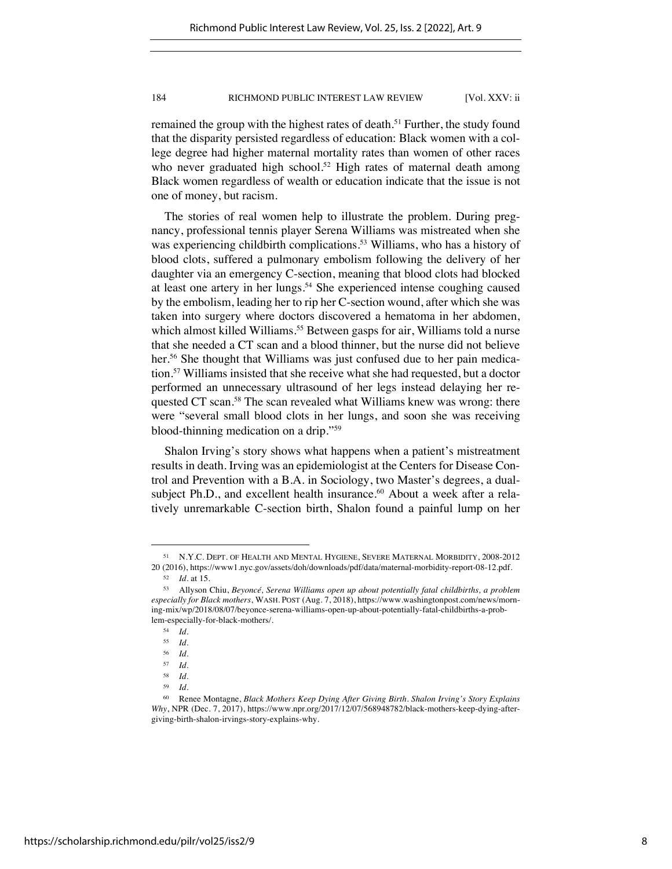remained the group with the highest rates of death.<sup>51</sup> Further, the study found that the disparity persisted regardless of education: Black women with a college degree had higher maternal mortality rates than women of other races who never graduated high school.<sup>52</sup> High rates of maternal death among Black women regardless of wealth or education indicate that the issue is not one of money, but racism.

The stories of real women help to illustrate the problem. During pregnancy, professional tennis player Serena Williams was mistreated when she was experiencing childbirth complications.<sup>53</sup> Williams, who has a history of blood clots, suffered a pulmonary embolism following the delivery of her daughter via an emergency C-section, meaning that blood clots had blocked at least one artery in her lungs.<sup>54</sup> She experienced intense coughing caused by the embolism, leading her to rip her C-section wound, after which she was taken into surgery where doctors discovered a hematoma in her abdomen, which almost killed Williams.<sup>55</sup> Between gasps for air, Williams told a nurse that she needed a CT scan and a blood thinner, but the nurse did not believe her.<sup>56</sup> She thought that Williams was just confused due to her pain medication.57 Williams insisted that she receive what she had requested, but a doctor performed an unnecessary ultrasound of her legs instead delaying her requested CT scan.<sup>58</sup> The scan revealed what Williams knew was wrong: there were "several small blood clots in her lungs, and soon she was receiving blood-thinning medication on a drip."59

Shalon Irving's story shows what happens when a patient's mistreatment results in death. Irving was an epidemiologist at the Centers for Disease Control and Prevention with a B.A. in Sociology, two Master's degrees, a dualsubject Ph.D., and excellent health insurance.<sup>60</sup> About a week after a relatively unremarkable C-section birth, Shalon found a painful lump on her

<sup>51</sup> N.Y.C. DEPT. OF HEALTH AND MENTAL HYGIENE, SEVERE MATERNAL MORBIDITY, 2008-2012 20 (2016), https://www1.nyc.gov/assets/doh/downloads/pdf/data/maternal-morbidity-report-08-12.pdf.

<sup>52</sup> *Id*. at 15.

<sup>53</sup> Allyson Chiu, *Beyoncé, Serena Williams open up about potentially fatal childbirths, a problem especially for Black mothers*, WASH. POST (Aug. 7, 2018), https://www.washingtonpost.com/news/morning-mix/wp/2018/08/07/beyonce-serena-williams-open-up-about-potentially-fatal-childbirths-a-problem-especially-for-black-mothers/.

<sup>54</sup> *Id.*

<sup>55</sup> *Id*.

 $\frac{56}{57}$  *Id.* 

 $\begin{array}{cc} 57 & Id. \\ 58 & Id. \end{array}$ 

 $\frac{58}{59}$  *Id.* 

<sup>59</sup> *Id*.

<sup>60</sup> Renee Montagne, *Black Mothers Keep Dying After Giving Birth. Shalon Irving's Story Explains Why*, NPR (Dec. 7, 2017), https://www.npr.org/2017/12/07/568948782/black-mothers-keep-dying-aftergiving-birth-shalon-irvings-story-explains-why.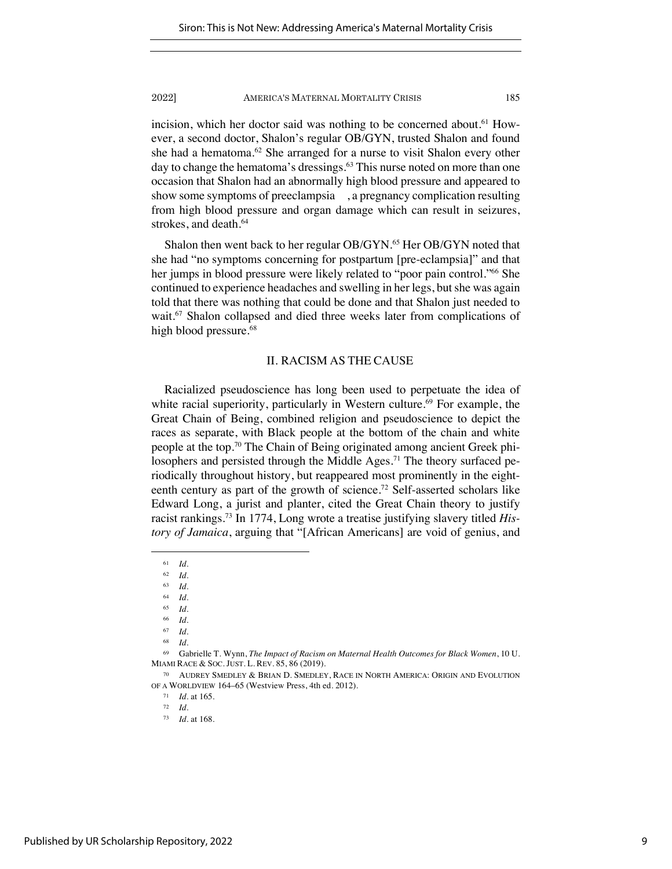incision, which her doctor said was nothing to be concerned about.<sup>61</sup> However, a second doctor, Shalon's regular OB/GYN, trusted Shalon and found she had a hematoma.<sup>62</sup> She arranged for a nurse to visit Shalon every other day to change the hematoma's dressings.<sup>63</sup> This nurse noted on more than one occasion that Shalon had an abnormally high blood pressure and appeared to show some symptoms of preeclampsia , a pregnancy complication resulting from high blood pressure and organ damage which can result in seizures, strokes, and death.<sup>64</sup>

Shalon then went back to her regular OB/GYN.<sup>65</sup> Her OB/GYN noted that she had "no symptoms concerning for postpartum [pre-eclampsia]" and that her jumps in blood pressure were likely related to "poor pain control."<sup>66</sup> She continued to experience headaches and swelling in her legs, but she was again told that there was nothing that could be done and that Shalon just needed to wait.<sup>67</sup> Shalon collapsed and died three weeks later from complications of high blood pressure.<sup>68</sup>

## II. RACISM AS THE CAUSE

Racialized pseudoscience has long been used to perpetuate the idea of white racial superiority, particularly in Western culture.<sup>69</sup> For example, the Great Chain of Being, combined religion and pseudoscience to depict the races as separate, with Black people at the bottom of the chain and white people at the top.70 The Chain of Being originated among ancient Greek philosophers and persisted through the Middle Ages.<sup>71</sup> The theory surfaced periodically throughout history, but reappeared most prominently in the eighteenth century as part of the growth of science.<sup>72</sup> Self-asserted scholars like Edward Long, a jurist and planter, cited the Great Chain theory to justify racist rankings.73 In 1774, Long wrote a treatise justifying slavery titled *History of Jamaica*, arguing that "[African Americans] are void of genius, and

<sup>61</sup> *Id*.

 $\begin{array}{cc} 62 & Id. \\ 63 & Id. \end{array}$ 

<sup>63</sup> *Id*.

<sup>64</sup> *Id*. <sup>65</sup> *Id*.

<sup>66</sup> *Id*.

<sup>67</sup> *Id*.

<sup>68</sup> *Id*.

<sup>69</sup> Gabrielle T. Wynn, *The Impact of Racism on Maternal Health Outcomes for Black Women*, 10 U. MIAMI RACE & SOC. JUST. L. REV. 85, 86 (2019).

<sup>70</sup> AUDREY SMEDLEY & BRIAN D. SMEDLEY, RACE IN NORTH AMERICA: ORIGIN AND EVOLUTION OF A WORLDVIEW 164–65 (Westview Press, 4th ed. 2012).

<sup>71</sup> *Id.* at 165.

<sup>72</sup> *Id.*

<sup>73</sup> *Id.* at 168.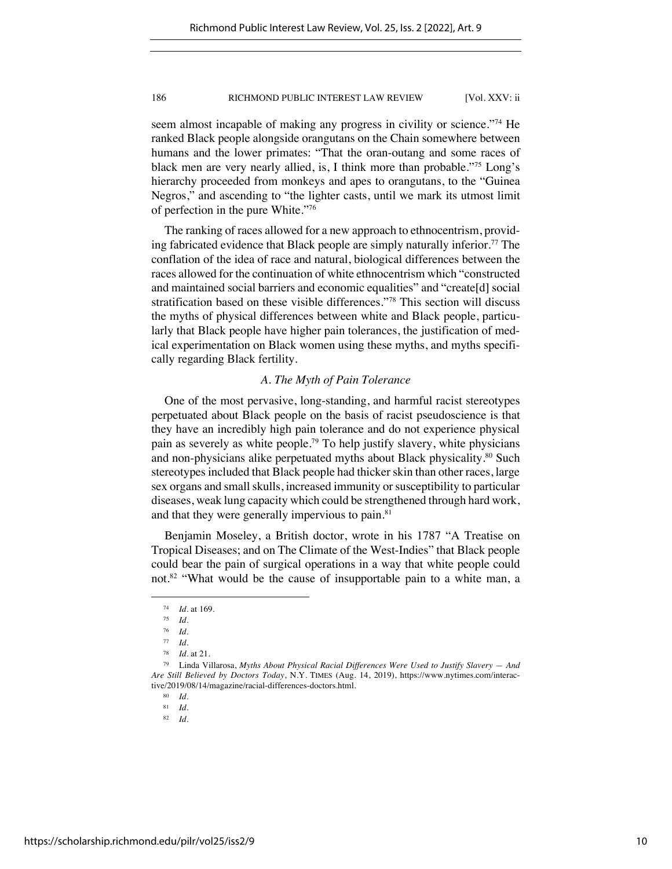seem almost incapable of making any progress in civility or science."<sup>74</sup> He ranked Black people alongside orangutans on the Chain somewhere between humans and the lower primates: "That the oran-outang and some races of black men are very nearly allied, is, I think more than probable."75 Long's hierarchy proceeded from monkeys and apes to orangutans, to the "Guinea Negros," and ascending to "the lighter casts, until we mark its utmost limit of perfection in the pure White."76

The ranking of races allowed for a new approach to ethnocentrism, providing fabricated evidence that Black people are simply naturally inferior.<sup>77</sup> The conflation of the idea of race and natural, biological differences between the races allowed for the continuation of white ethnocentrism which "constructed and maintained social barriers and economic equalities" and "create[d] social stratification based on these visible differences."78 This section will discuss the myths of physical differences between white and Black people, particularly that Black people have higher pain tolerances, the justification of medical experimentation on Black women using these myths, and myths specifically regarding Black fertility.

## *A. The Myth of Pain Tolerance*

One of the most pervasive, long-standing, and harmful racist stereotypes perpetuated about Black people on the basis of racist pseudoscience is that they have an incredibly high pain tolerance and do not experience physical pain as severely as white people.79 To help justify slavery, white physicians and non-physicians alike perpetuated myths about Black physicality.<sup>80</sup> Such stereotypes included that Black people had thicker skin than other races, large sex organs and small skulls, increased immunity or susceptibility to particular diseases, weak lung capacity which could be strengthened through hard work, and that they were generally impervious to pain.<sup>81</sup>

Benjamin Moseley, a British doctor, wrote in his 1787 "A Treatise on Tropical Diseases; and on The Climate of the West-Indies" that Black people could bear the pain of surgical operations in a way that white people could not.<sup>82</sup> "What would be the cause of insupportable pain to a white man, a

<sup>74</sup> *Id.* at 169.

<sup>75</sup> *Id.*

<sup>76</sup> *Id.*

<sup>77</sup> *Id*.

<sup>78</sup> *Id*. at 21.

<sup>79</sup> Linda Villarosa, *Myths About Physical Racial Differences Were Used to Justify Slavery — And Are Still Believed by Doctors Today*, N.Y. TIMES (Aug. 14, 2019), https://www.nytimes.com/interactive/2019/08/14/magazine/racial-differences-doctors.html.

<sup>80</sup> *Id.*

<sup>81</sup> *Id.*

<sup>82</sup> *Id.*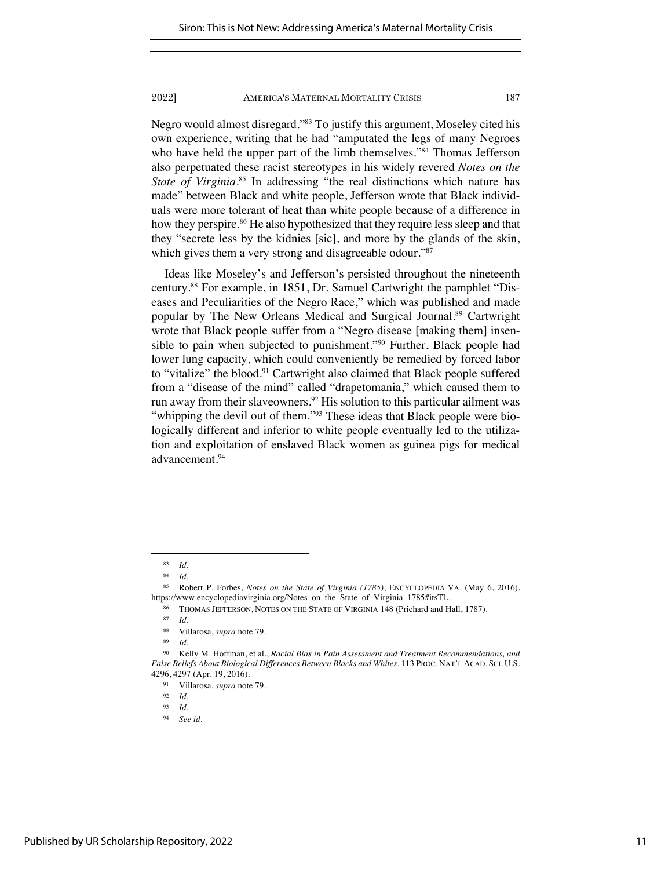Negro would almost disregard."83 To justify this argument, Moseley cited his own experience, writing that he had "amputated the legs of many Negroes who have held the upper part of the limb themselves."<sup>84</sup> Thomas Jefferson also perpetuated these racist stereotypes in his widely revered *Notes on the*  State of Virginia.<sup>85</sup> In addressing "the real distinctions which nature has made" between Black and white people, Jefferson wrote that Black individuals were more tolerant of heat than white people because of a difference in how they perspire.<sup>86</sup> He also hypothesized that they require less sleep and that they "secrete less by the kidnies [sic], and more by the glands of the skin, which gives them a very strong and disagreeable odour."87

Ideas like Moseley's and Jefferson's persisted throughout the nineteenth century.88 For example, in 1851, Dr. Samuel Cartwright the pamphlet "Diseases and Peculiarities of the Negro Race," which was published and made popular by The New Orleans Medical and Surgical Journal.89 Cartwright wrote that Black people suffer from a "Negro disease [making them] insensible to pain when subjected to punishment."90 Further, Black people had lower lung capacity, which could conveniently be remedied by forced labor to "vitalize" the blood.<sup>91</sup> Cartwright also claimed that Black people suffered from a "disease of the mind" called "drapetomania," which caused them to run away from their slaveowners.<sup>92</sup> His solution to this particular ailment was "whipping the devil out of them."<sup>93</sup> These ideas that Black people were biologically different and inferior to white people eventually led to the utilization and exploitation of enslaved Black women as guinea pigs for medical advancement.94

<sup>83</sup> *Id*.

<sup>84</sup> *Id*.

<sup>85</sup> Robert P. Forbes, *Notes on the State of Virginia (1785)*, ENCYCLOPEDIA VA. (May 6, 2016), https://www.encyclopediavirginia.org/Notes\_on\_the\_State\_of\_Virginia\_1785#itsTL.

THOMAS JEFFERSON, NOTES ON THE STATE OF VIRGINIA 148 (Prichard and Hall, 1787).

<sup>87</sup> *Id.*

<sup>88</sup> Villarosa, *supra* note 79.

<sup>89</sup> *Id.*

<sup>90</sup> Kelly M. Hoffman, et al., *Racial Bias in Pain Assessment and Treatment Recommendations, and False Beliefs About Biological Differences Between Blacks and Whites*, 113 PROC. NAT'L ACAD. SCI. U.S. 4296, 4297 (Apr. 19, 2016).

<sup>91</sup> Villarosa, *supra* note 79.

<sup>92</sup> *Id*.

<sup>93</sup> *Id*.

<sup>94</sup> *See id*.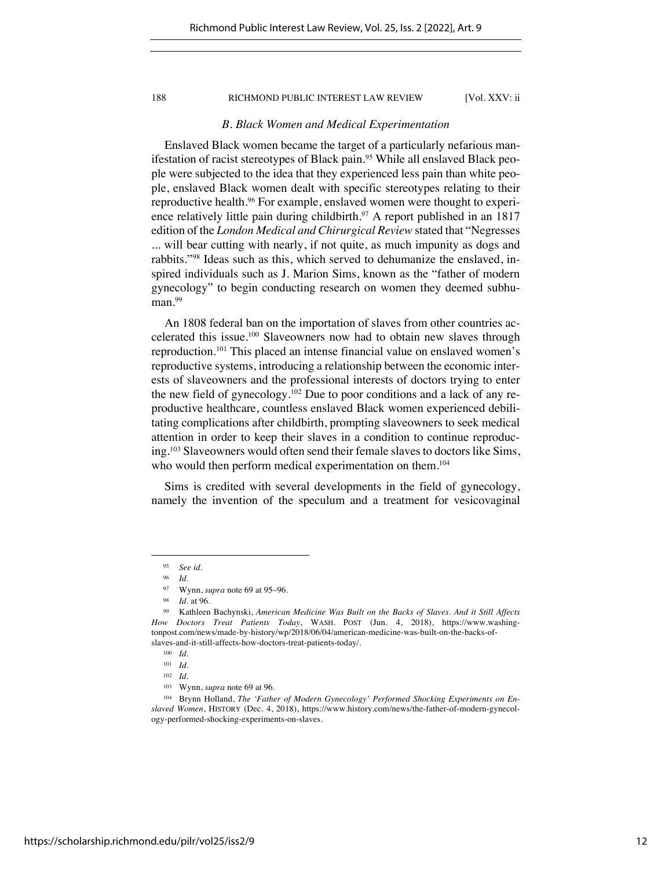## *B. Black Women and Medical Experimentation*

Enslaved Black women became the target of a particularly nefarious manifestation of racist stereotypes of Black pain.<sup>95</sup> While all enslaved Black people were subjected to the idea that they experienced less pain than white people, enslaved Black women dealt with specific stereotypes relating to their reproductive health.96 For example, enslaved women were thought to experience relatively little pain during childbirth.<sup>97</sup> A report published in an 1817 edition of the *London Medical and Chirurgical Review* stated that "Negresses ... will bear cutting with nearly, if not quite, as much impunity as dogs and rabbits."98 Ideas such as this, which served to dehumanize the enslaved, inspired individuals such as J. Marion Sims, known as the "father of modern gynecology" to begin conducting research on women they deemed subhuman.<sup>99</sup>

An 1808 federal ban on the importation of slaves from other countries accelerated this issue.100 Slaveowners now had to obtain new slaves through reproduction.101 This placed an intense financial value on enslaved women's reproductive systems, introducing a relationship between the economic interests of slaveowners and the professional interests of doctors trying to enter the new field of gynecology.102 Due to poor conditions and a lack of any reproductive healthcare, countless enslaved Black women experienced debilitating complications after childbirth, prompting slaveowners to seek medical attention in order to keep their slaves in a condition to continue reproducing.103 Slaveowners would often send their female slaves to doctors like Sims, who would then perform medical experimentation on them.<sup>104</sup>

Sims is credited with several developments in the field of gynecology, namely the invention of the speculum and a treatment for vesicovaginal

<sup>103</sup> Wynn, *supra* note 69 at 96.

<sup>95</sup> *See id.*

*Id.* 

<sup>97</sup> Wynn, *supra* note 69 at 95–96.

<sup>98</sup> *Id*. at 96.

<sup>99</sup> Kathleen Bachynski, *American Medicine Was Built on the Backs of Slaves. And it Still Affects How Doctors Treat Patients Today*, WASH. POST (Jun. 4, 2018), https://www.washingtonpost.com/news/made-by-history/wp/2018/06/04/american-medicine-was-built-on-the-backs-ofslaves-and-it-still-affects-how-doctors-treat-patients-today/.

<sup>100</sup> *Id.*

<sup>101</sup> *Id*.

<sup>102</sup> *Id*.

<sup>104</sup> Brynn Holland, *The 'Father of Modern Gynecology' Performed Shocking Experiments on Enslaved Women*, HISTORY (Dec. 4, 2018), https://www.history.com/news/the-father-of-modern-gynecology-performed-shocking-experiments-on-slaves.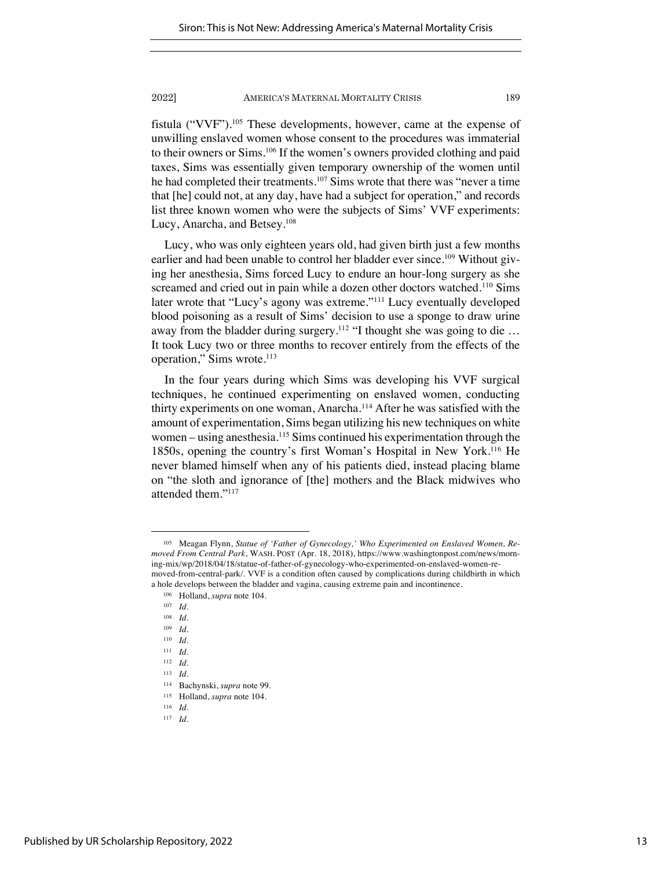fistula ("VVF").105 These developments, however, came at the expense of unwilling enslaved women whose consent to the procedures was immaterial to their owners or Sims.106 If the women's owners provided clothing and paid taxes, Sims was essentially given temporary ownership of the women until he had completed their treatments.<sup>107</sup> Sims wrote that there was "never a time that [he] could not, at any day, have had a subject for operation," and records list three known women who were the subjects of Sims' VVF experiments: Lucy, Anarcha, and Betsey.108

Lucy, who was only eighteen years old, had given birth just a few months earlier and had been unable to control her bladder ever since.<sup>109</sup> Without giving her anesthesia, Sims forced Lucy to endure an hour-long surgery as she screamed and cried out in pain while a dozen other doctors watched.<sup>110</sup> Sims later wrote that "Lucy's agony was extreme."111 Lucy eventually developed blood poisoning as a result of Sims' decision to use a sponge to draw urine away from the bladder during surgery.<sup>112</sup> "I thought she was going to die ... It took Lucy two or three months to recover entirely from the effects of the operation," Sims wrote.<sup>113</sup>

In the four years during which Sims was developing his VVF surgical techniques, he continued experimenting on enslaved women, conducting thirty experiments on one woman, Anarcha.114 After he was satisfied with the amount of experimentation, Sims began utilizing his new techniques on white women – using anesthesia.<sup>115</sup> Sims continued his experimentation through the 1850s, opening the country's first Woman's Hospital in New York.116 He never blamed himself when any of his patients died, instead placing blame on "the sloth and ignorance of [the] mothers and the Black midwives who attended them."117

<sup>105</sup> Meagan Flynn, *Statue of 'Father of Gynecology,' Who Experimented on Enslaved Women, Removed From Central Park*, WASH. POST (Apr. 18, 2018), https://www.washingtonpost.com/news/morning-mix/wp/2018/04/18/statue-of-father-of-gynecology-who-experimented-on-enslaved-women-removed-from-central-park/. VVF is a condition often caused by complications during childbirth in which a hole develops between the bladder and vagina, causing extreme pain and incontinence.

<sup>106</sup> Holland, *supra* note 104.

<sup>107</sup> *Id*.

<sup>108</sup> *Id*.

<sup>109</sup> *Id*.

<sup>110</sup> *Id*.

<sup>111</sup> *Id*.

<sup>112</sup> *Id.*

<sup>113</sup> *Id*.

<sup>114</sup> Bachynski, *supra* note 99.

<sup>115</sup> Holland, *supra* note 104.

<sup>116</sup> *Id*.

<sup>117</sup> *Id*.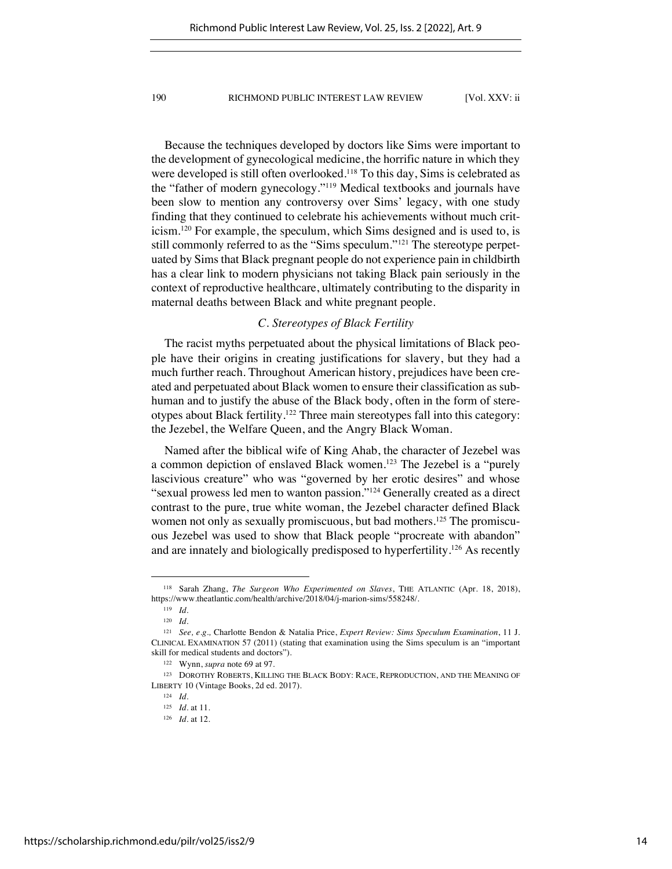Because the techniques developed by doctors like Sims were important to the development of gynecological medicine, the horrific nature in which they were developed is still often overlooked.<sup>118</sup> To this day, Sims is celebrated as the "father of modern gynecology."119 Medical textbooks and journals have been slow to mention any controversy over Sims' legacy, with one study finding that they continued to celebrate his achievements without much criticism.120 For example, the speculum, which Sims designed and is used to, is still commonly referred to as the "Sims speculum."121 The stereotype perpetuated by Sims that Black pregnant people do not experience pain in childbirth has a clear link to modern physicians not taking Black pain seriously in the context of reproductive healthcare, ultimately contributing to the disparity in maternal deaths between Black and white pregnant people.

## *C. Stereotypes of Black Fertility*

The racist myths perpetuated about the physical limitations of Black people have their origins in creating justifications for slavery, but they had a much further reach. Throughout American history, prejudices have been created and perpetuated about Black women to ensure their classification as subhuman and to justify the abuse of the Black body, often in the form of stereotypes about Black fertility.122 Three main stereotypes fall into this category: the Jezebel, the Welfare Queen, and the Angry Black Woman.

Named after the biblical wife of King Ahab, the character of Jezebel was a common depiction of enslaved Black women.<sup>123</sup> The Jezebel is a "purely lascivious creature" who was "governed by her erotic desires" and whose "sexual prowess led men to wanton passion."124 Generally created as a direct contrast to the pure, true white woman, the Jezebel character defined Black women not only as sexually promiscuous, but bad mothers.<sup>125</sup> The promiscuous Jezebel was used to show that Black people "procreate with abandon" and are innately and biologically predisposed to hyperfertility.126 As recently

<sup>118</sup> Sarah Zhang, *The Surgeon Who Experimented on Slaves*, THE ATLANTIC (Apr. 18, 2018), https://www.theatlantic.com/health/archive/2018/04/j-marion-sims/558248/.

<sup>119</sup> *Id.*

<sup>120</sup> *Id.*

<sup>121</sup> *See, e.g.,* Charlotte Bendon & Natalia Price, *Expert Review: Sims Speculum Examination*, 11 J. CLINICAL EXAMINATION 57 (2011) (stating that examination using the Sims speculum is an "important skill for medical students and doctors").

<sup>122</sup> Wynn, *supra* note 69 at 97.

<sup>123</sup> DOROTHY ROBERTS, KILLING THE BLACK BODY: RACE, REPRODUCTION, AND THE MEANING OF LIBERTY 10 (Vintage Books, 2d ed. 2017).

<sup>124</sup> *Id*.

<sup>125</sup> *Id*. at 11.

<sup>126</sup> *Id*. at 12.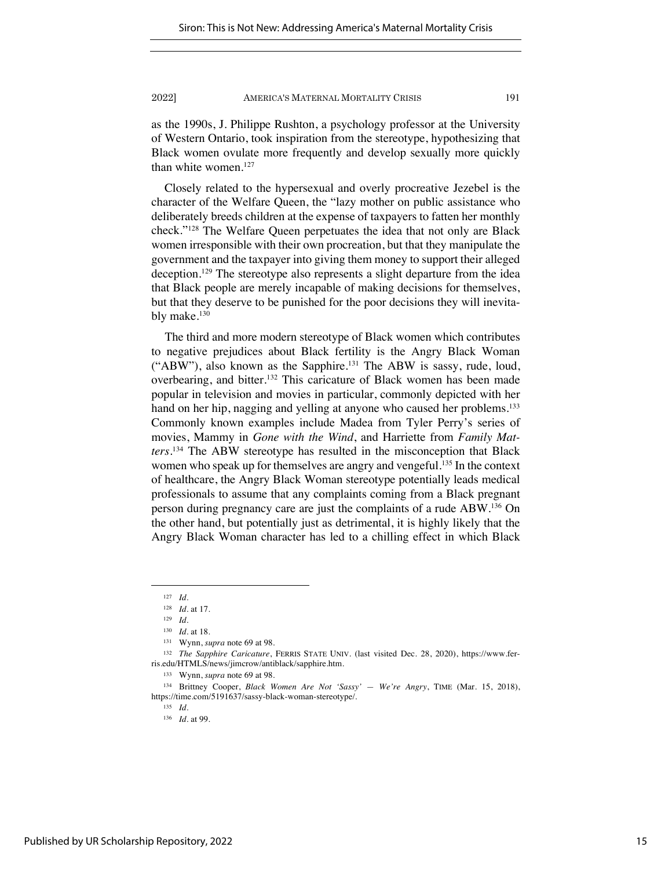as the 1990s, J. Philippe Rushton, a psychology professor at the University of Western Ontario, took inspiration from the stereotype, hypothesizing that Black women ovulate more frequently and develop sexually more quickly than white women.<sup>127</sup>

Closely related to the hypersexual and overly procreative Jezebel is the character of the Welfare Queen, the "lazy mother on public assistance who deliberately breeds children at the expense of taxpayers to fatten her monthly check."128 The Welfare Queen perpetuates the idea that not only are Black women irresponsible with their own procreation, but that they manipulate the government and the taxpayer into giving them money to support their alleged deception.129 The stereotype also represents a slight departure from the idea that Black people are merely incapable of making decisions for themselves, but that they deserve to be punished for the poor decisions they will inevitably make.<sup>130</sup>

The third and more modern stereotype of Black women which contributes to negative prejudices about Black fertility is the Angry Black Woman ("ABW"), also known as the Sapphire.131 The ABW is sassy, rude, loud, overbearing, and bitter.132 This caricature of Black women has been made popular in television and movies in particular, commonly depicted with her hand on her hip, nagging and yelling at anyone who caused her problems.<sup>133</sup> Commonly known examples include Madea from Tyler Perry's series of movies, Mammy in *Gone with the Wind*, and Harriette from *Family Matters*. <sup>134</sup> The ABW stereotype has resulted in the misconception that Black women who speak up for themselves are angry and vengeful.<sup>135</sup> In the context of healthcare, the Angry Black Woman stereotype potentially leads medical professionals to assume that any complaints coming from a Black pregnant person during pregnancy care are just the complaints of a rude ABW.136 On the other hand, but potentially just as detrimental, it is highly likely that the Angry Black Woman character has led to a chilling effect in which Black

<sup>127</sup> *Id*.

<sup>128</sup> *Id*. at 17.

<sup>129</sup> *Id*.

<sup>130</sup> *Id*. at 18.

<sup>131</sup> Wynn, *supra* note 69 at 98.

<sup>132</sup> *The Sapphire Caricature*, FERRIS STATE UNIV. (last visited Dec. 28, 2020), https://www.ferris.edu/HTMLS/news/jimcrow/antiblack/sapphire.htm.

<sup>133</sup> Wynn, *supra* note 69 at 98.

<sup>134</sup> Brittney Cooper, *Black Women Are Not 'Sassy' — We're Angry*, TIME (Mar. 15, 2018), https://time.com/5191637/sassy-black-woman-stereotype/.

<sup>135</sup> *Id*.

<sup>136</sup> *Id*. at 99.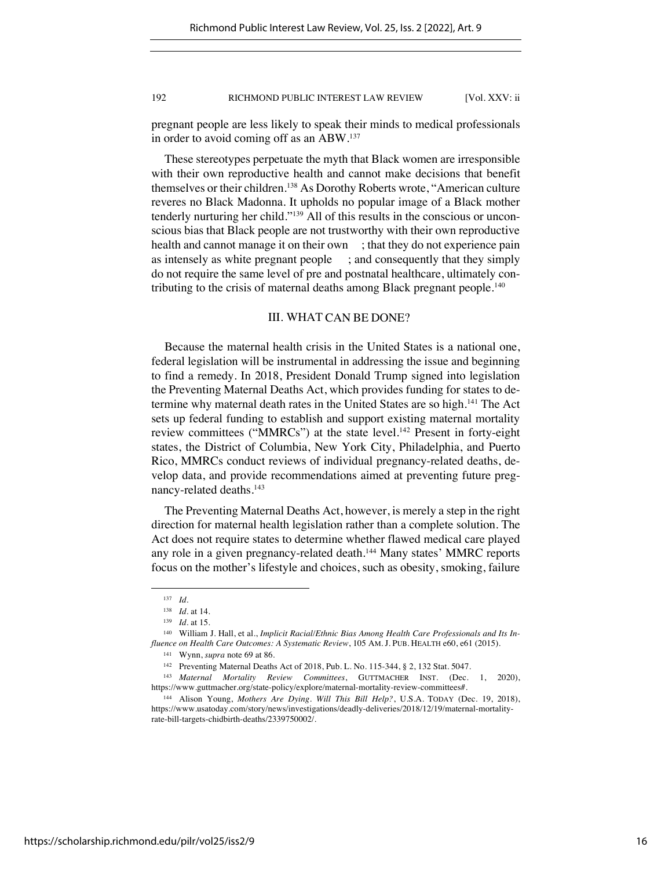pregnant people are less likely to speak their minds to medical professionals in order to avoid coming off as an ABW.137

These stereotypes perpetuate the myth that Black women are irresponsible with their own reproductive health and cannot make decisions that benefit themselves or their children.<sup>138</sup> As Dorothy Roberts wrote, "American culture reveres no Black Madonna. It upholds no popular image of a Black mother tenderly nurturing her child."139 All of this results in the conscious or unconscious bias that Black people are not trustworthy with their own reproductive health and cannot manage it on their own ; that they do not experience pain as intensely as white pregnant people ; and consequently that they simply do not require the same level of pre and postnatal healthcare, ultimately contributing to the crisis of maternal deaths among Black pregnant people.140

## III. WHAT CAN BE DONE?

Because the maternal health crisis in the United States is a national one, federal legislation will be instrumental in addressing the issue and beginning to find a remedy. In 2018, President Donald Trump signed into legislation the Preventing Maternal Deaths Act, which provides funding for states to determine why maternal death rates in the United States are so high.<sup>141</sup> The Act sets up federal funding to establish and support existing maternal mortality review committees ("MMRCs") at the state level.142 Present in forty-eight states, the District of Columbia, New York City, Philadelphia, and Puerto Rico, MMRCs conduct reviews of individual pregnancy-related deaths, develop data, and provide recommendations aimed at preventing future pregnancy-related deaths.143

The Preventing Maternal Deaths Act, however, is merely a step in the right direction for maternal health legislation rather than a complete solution. The Act does not require states to determine whether flawed medical care played any role in a given pregnancy-related death.144 Many states' MMRC reports focus on the mother's lifestyle and choices, such as obesity, smoking, failure

<sup>137</sup> *Id*.

<sup>138</sup> *Id.* at 14.

<sup>139</sup> *Id.* at 15.

<sup>140</sup> William J. Hall, et al., *Implicit Racial/Ethnic Bias Among Health Care Professionals and Its Influence on Health Care Outcomes: A Systematic Review*, 105 AM. J. PUB. HEALTH e60, e61 (2015).

<sup>141</sup> Wynn, *supra* note 69 at 86.

<sup>142</sup> Preventing Maternal Deaths Act of 2018, Pub. L. No. 115-344, § 2, 132 Stat. 5047.

<sup>143</sup> *Maternal Mortality Review Committees*, GUTTMACHER INST. (Dec. 1, 2020), https://www.guttmacher.org/state-policy/explore/maternal-mortality-review-committees#.

<sup>144</sup> Alison Young, *Mothers Are Dying. Will This Bill Help?*, U.S.A. TODAY (Dec. 19, 2018), https://www.usatoday.com/story/news/investigations/deadly-deliveries/2018/12/19/maternal-mortalityrate-bill-targets-chidbirth-deaths/2339750002/.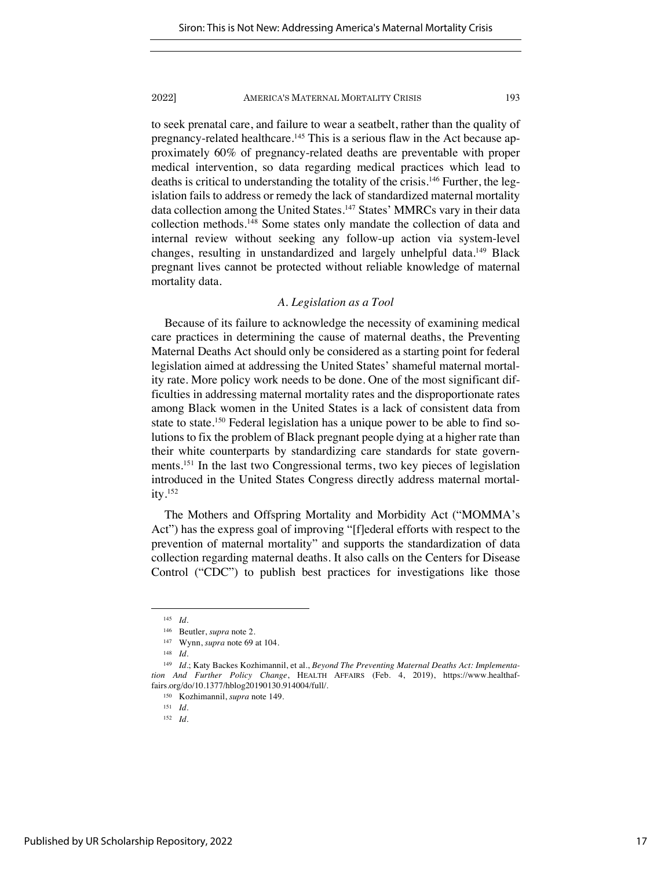to seek prenatal care, and failure to wear a seatbelt, rather than the quality of pregnancy-related healthcare.<sup>145</sup> This is a serious flaw in the Act because approximately 60% of pregnancy-related deaths are preventable with proper medical intervention, so data regarding medical practices which lead to deaths is critical to understanding the totality of the crisis.<sup>146</sup> Further, the legislation fails to address or remedy the lack of standardized maternal mortality data collection among the United States.<sup>147</sup> States' MMRCs vary in their data collection methods.148 Some states only mandate the collection of data and internal review without seeking any follow-up action via system-level changes, resulting in unstandardized and largely unhelpful data.<sup>149</sup> Black pregnant lives cannot be protected without reliable knowledge of maternal mortality data.

## *A. Legislation as a Tool*

Because of its failure to acknowledge the necessity of examining medical care practices in determining the cause of maternal deaths, the Preventing Maternal Deaths Act should only be considered as a starting point for federal legislation aimed at addressing the United States' shameful maternal mortality rate. More policy work needs to be done. One of the most significant difficulties in addressing maternal mortality rates and the disproportionate rates among Black women in the United States is a lack of consistent data from state to state.<sup>150</sup> Federal legislation has a unique power to be able to find solutions to fix the problem of Black pregnant people dying at a higher rate than their white counterparts by standardizing care standards for state governments.151 In the last two Congressional terms, two key pieces of legislation introduced in the United States Congress directly address maternal mortality.152

The Mothers and Offspring Mortality and Morbidity Act ("MOMMA's Act") has the express goal of improving "[f]ederal efforts with respect to the prevention of maternal mortality" and supports the standardization of data collection regarding maternal deaths. It also calls on the Centers for Disease Control ("CDC") to publish best practices for investigations like those

<sup>145</sup> *Id*.

<sup>146</sup> Beutler, *supra* note 2.

<sup>147</sup> Wynn, *supra* note 69 at 104.

<sup>148</sup> *Id.*

<sup>149</sup> *Id*.; Katy Backes Kozhimannil, et al., *Beyond The Preventing Maternal Deaths Act: Implementation And Further Policy Change*, HEALTH AFFAIRS (Feb. 4, 2019), https://www.healthaffairs.org/do/10.1377/hblog20190130.914004/full/.

<sup>150</sup> Kozhimannil, *supra* note 149.

<sup>151</sup> *Id.*

<sup>152</sup> *Id*.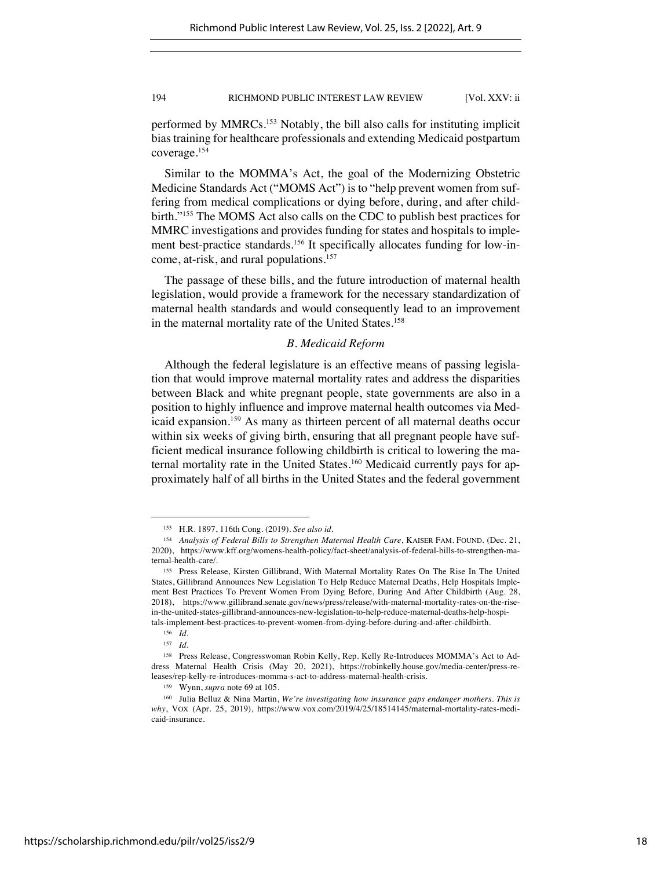performed by MMRCs.153 Notably, the bill also calls for instituting implicit bias training for healthcare professionals and extending Medicaid postpartum coverage.154

Similar to the MOMMA's Act, the goal of the Modernizing Obstetric Medicine Standards Act ("MOMS Act") is to "help prevent women from suffering from medical complications or dying before, during, and after childbirth."155 The MOMS Act also calls on the CDC to publish best practices for MMRC investigations and provides funding for states and hospitals to implement best-practice standards.<sup>156</sup> It specifically allocates funding for low-income, at-risk, and rural populations.<sup>157</sup>

The passage of these bills, and the future introduction of maternal health legislation, would provide a framework for the necessary standardization of maternal health standards and would consequently lead to an improvement in the maternal mortality rate of the United States.<sup>158</sup>

## *B. Medicaid Reform*

Although the federal legislature is an effective means of passing legislation that would improve maternal mortality rates and address the disparities between Black and white pregnant people, state governments are also in a position to highly influence and improve maternal health outcomes via Medicaid expansion.159 As many as thirteen percent of all maternal deaths occur within six weeks of giving birth, ensuring that all pregnant people have sufficient medical insurance following childbirth is critical to lowering the maternal mortality rate in the United States.<sup>160</sup> Medicaid currently pays for approximately half of all births in the United States and the federal government

<sup>153</sup> H.R. 1897, 116th Cong. (2019). *See also id*.

<sup>154</sup> *Analysis of Federal Bills to Strengthen Maternal Health Care*, KAISER FAM. FOUND. (Dec. 21, 2020), https://www.kff.org/womens-health-policy/fact-sheet/analysis-of-federal-bills-to-strengthen-maternal-health-care/.

<sup>155</sup> Press Release, Kirsten Gillibrand, With Maternal Mortality Rates On The Rise In The United States, Gillibrand Announces New Legislation To Help Reduce Maternal Deaths, Help Hospitals Implement Best Practices To Prevent Women From Dying Before, During And After Childbirth (Aug. 28, 2018), https://www.gillibrand.senate.gov/news/press/release/with-maternal-mortality-rates-on-the-risein-the-united-states-gillibrand-announces-new-legislation-to-help-reduce-maternal-deaths-help-hospitals-implement-best-practices-to-prevent-women-from-dying-before-during-and-after-childbirth.

<sup>156</sup> *Id.*

<sup>157</sup> *Id*.

<sup>158</sup> Press Release, Congresswoman Robin Kelly, Rep. Kelly Re-Introduces MOMMA's Act to Address Maternal Health Crisis (May 20, 2021), https://robinkelly.house.gov/media-center/press-releases/rep-kelly-re-introduces-momma-s-act-to-address-maternal-health-crisis.

<sup>159</sup> Wynn, *supra* note 69 at 105.

<sup>160</sup> Julia Belluz & Nina Martin, *We're investigating how insurance gaps endanger mothers. This is why*, VOX (Apr. 25, 2019), https://www.vox.com/2019/4/25/18514145/maternal-mortality-rates-medicaid-insurance.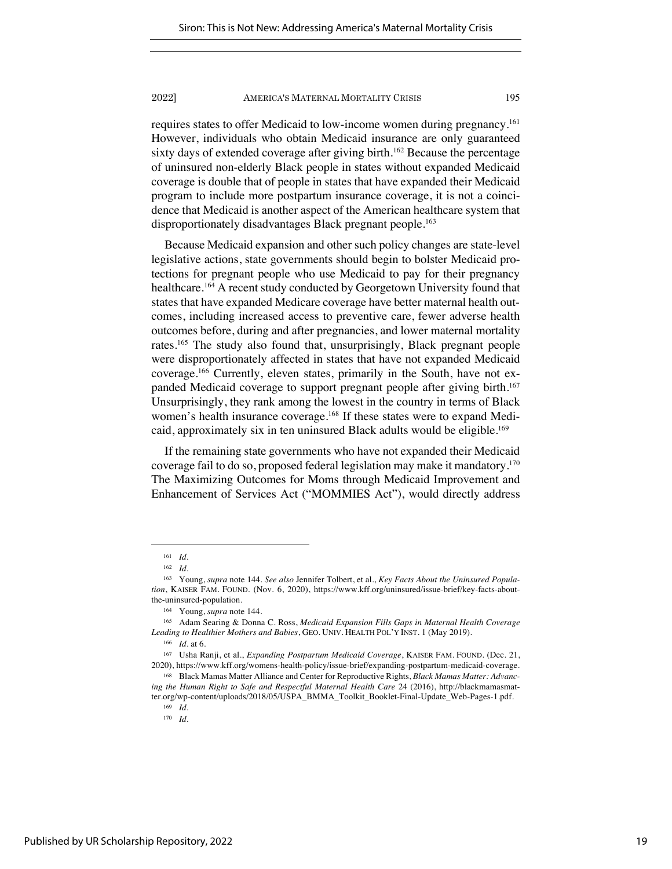requires states to offer Medicaid to low-income women during pregnancy.161 However, individuals who obtain Medicaid insurance are only guaranteed sixty days of extended coverage after giving birth.<sup>162</sup> Because the percentage of uninsured non-elderly Black people in states without expanded Medicaid coverage is double that of people in states that have expanded their Medicaid program to include more postpartum insurance coverage, it is not a coincidence that Medicaid is another aspect of the American healthcare system that disproportionately disadvantages Black pregnant people.<sup>163</sup>

Because Medicaid expansion and other such policy changes are state-level legislative actions, state governments should begin to bolster Medicaid protections for pregnant people who use Medicaid to pay for their pregnancy healthcare.164 A recent study conducted by Georgetown University found that states that have expanded Medicare coverage have better maternal health outcomes, including increased access to preventive care, fewer adverse health outcomes before, during and after pregnancies, and lower maternal mortality rates.165 The study also found that, unsurprisingly, Black pregnant people were disproportionately affected in states that have not expanded Medicaid coverage.166 Currently, eleven states, primarily in the South, have not expanded Medicaid coverage to support pregnant people after giving birth.<sup>167</sup> Unsurprisingly, they rank among the lowest in the country in terms of Black women's health insurance coverage.<sup>168</sup> If these states were to expand Medicaid, approximately six in ten uninsured Black adults would be eligible.<sup>169</sup>

If the remaining state governments who have not expanded their Medicaid coverage fail to do so, proposed federal legislation may make it mandatory.170 The Maximizing Outcomes for Moms through Medicaid Improvement and Enhancement of Services Act ("MOMMIES Act"), would directly address

<sup>161</sup> *Id*.

<sup>162</sup> *Id*.

<sup>163</sup> Young, *supra* note 144. *See also* Jennifer Tolbert, et al., *Key Facts About the Uninsured Population*, KAISER FAM. FOUND. (Nov. 6, 2020), https://www.kff.org/uninsured/issue-brief/key-facts-aboutthe-uninsured-population.

<sup>164</sup> Young, *supra* note 144.

<sup>165</sup> Adam Searing & Donna C. Ross, *Medicaid Expansion Fills Gaps in Maternal Health Coverage Leading to Healthier Mothers and Babies*, GEO. UNIV. HEALTH POL'Y INST. 1 (May 2019).

<sup>166</sup> *Id*. at 6.

<sup>167</sup> Usha Ranji, et al., *Expanding Postpartum Medicaid Coverage*, KAISER FAM. FOUND. (Dec. 21, 2020), https://www.kff.org/womens-health-policy/issue-brief/expanding-postpartum-medicaid-coverage.

<sup>168</sup> Black Mamas Matter Alliance and Center for Reproductive Rights, *Black Mamas Matter: Advancing the Human Right to Safe and Respectful Maternal Health Care* 24 (2016), http://blackmamasmatter.org/wp-content/uploads/2018/05/USPA\_BMMA\_Toolkit\_Booklet-Final-Update\_Web-Pages-1.pdf.

<sup>169</sup> *Id*.

<sup>170</sup> *Id.*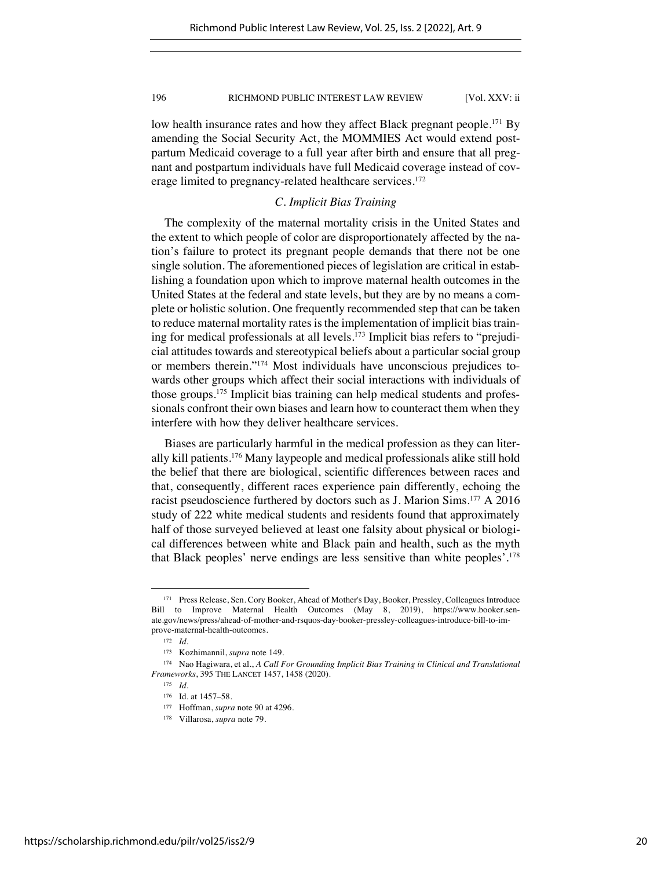low health insurance rates and how they affect Black pregnant people.<sup>171</sup> By amending the Social Security Act, the MOMMIES Act would extend postpartum Medicaid coverage to a full year after birth and ensure that all pregnant and postpartum individuals have full Medicaid coverage instead of coverage limited to pregnancy-related healthcare services.172

## *C. Implicit Bias Training*

The complexity of the maternal mortality crisis in the United States and the extent to which people of color are disproportionately affected by the nation's failure to protect its pregnant people demands that there not be one single solution. The aforementioned pieces of legislation are critical in establishing a foundation upon which to improve maternal health outcomes in the United States at the federal and state levels, but they are by no means a complete or holistic solution. One frequently recommended step that can be taken to reduce maternal mortality rates is the implementation of implicit bias training for medical professionals at all levels.173 Implicit bias refers to "prejudicial attitudes towards and stereotypical beliefs about a particular social group or members therein."174 Most individuals have unconscious prejudices towards other groups which affect their social interactions with individuals of those groups.175 Implicit bias training can help medical students and professionals confront their own biases and learn how to counteract them when they interfere with how they deliver healthcare services.

Biases are particularly harmful in the medical profession as they can literally kill patients.176 Many laypeople and medical professionals alike still hold the belief that there are biological, scientific differences between races and that, consequently, different races experience pain differently, echoing the racist pseudoscience furthered by doctors such as J. Marion Sims.177 A 2016 study of 222 white medical students and residents found that approximately half of those surveyed believed at least one falsity about physical or biological differences between white and Black pain and health, such as the myth that Black peoples' nerve endings are less sensitive than white peoples'.178

<sup>171</sup> Press Release, Sen. Cory Booker, Ahead of Mother's Day, Booker, Pressley, Colleagues Introduce Bill to Improve Maternal Health Outcomes (May 8, 2019), https://www.booker.senate.gov/news/press/ahead-of-mother-and-rsquos-day-booker-pressley-colleagues-introduce-bill-to-improve-maternal-health-outcomes.

<sup>172</sup> *Id*.

<sup>173</sup> Kozhimannil, *supra* note 149.

<sup>174</sup> Nao Hagiwara, et al., *A Call For Grounding Implicit Bias Training in Clinical and Translational Frameworks*, 395 THE LANCET 1457, 1458 (2020).

<sup>175</sup> *Id.*

<sup>176</sup> Id. at 1457–58.

<sup>177</sup> Hoffman, *supra* note 90 at 4296.

<sup>178</sup> Villarosa, *supra* note 79.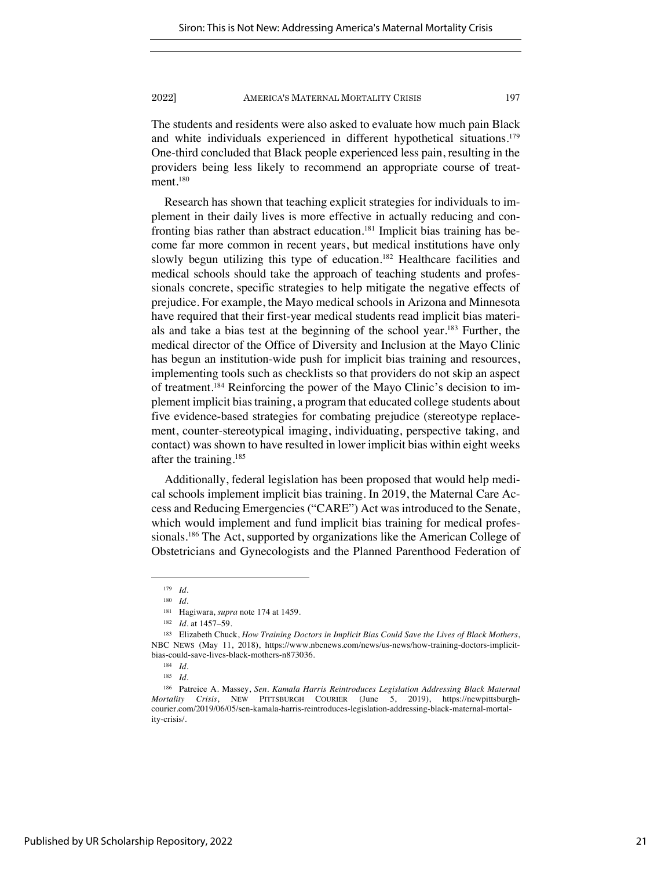The students and residents were also asked to evaluate how much pain Black and white individuals experienced in different hypothetical situations.<sup>179</sup> One-third concluded that Black people experienced less pain, resulting in the providers being less likely to recommend an appropriate course of treatment.<sup>180</sup>

Research has shown that teaching explicit strategies for individuals to implement in their daily lives is more effective in actually reducing and confronting bias rather than abstract education.181 Implicit bias training has become far more common in recent years, but medical institutions have only slowly begun utilizing this type of education.<sup>182</sup> Healthcare facilities and medical schools should take the approach of teaching students and professionals concrete, specific strategies to help mitigate the negative effects of prejudice. For example, the Mayo medical schools in Arizona and Minnesota have required that their first-year medical students read implicit bias materials and take a bias test at the beginning of the school year.183 Further, the medical director of the Office of Diversity and Inclusion at the Mayo Clinic has begun an institution-wide push for implicit bias training and resources, implementing tools such as checklists so that providers do not skip an aspect of treatment.184 Reinforcing the power of the Mayo Clinic's decision to implement implicit bias training, a program that educated college students about five evidence-based strategies for combating prejudice (stereotype replacement, counter-stereotypical imaging, individuating, perspective taking, and contact) was shown to have resulted in lower implicit bias within eight weeks after the training.185

Additionally, federal legislation has been proposed that would help medical schools implement implicit bias training. In 2019, the Maternal Care Access and Reducing Emergencies ("CARE") Act was introduced to the Senate, which would implement and fund implicit bias training for medical professionals.<sup>186</sup> The Act, supported by organizations like the American College of Obstetricians and Gynecologists and the Planned Parenthood Federation of

<sup>179</sup> *Id.*

<sup>180</sup> *Id*.

<sup>181</sup> Hagiwara, *supra* note 174 at 1459.

<sup>182</sup> *Id.* at 1457–59.

<sup>183</sup> Elizabeth Chuck, *How Training Doctors in Implicit Bias Could Save the Lives of Black Mothers*, NBC NEWS (May 11, 2018), https://www.nbcnews.com/news/us-news/how-training-doctors-implicitbias-could-save-lives-black-mothers-n873036.

<sup>184</sup> *Id*.

<sup>185</sup> *Id*.

<sup>186</sup> Patreice A. Massey, *Sen. Kamala Harris Reintroduces Legislation Addressing Black Maternal Mortality Crisis*, NEW PITTSBURGH COURIER (June 5, 2019), https://newpittsburghcourier.com/2019/06/05/sen-kamala-harris-reintroduces-legislation-addressing-black-maternal-mortality-crisis/.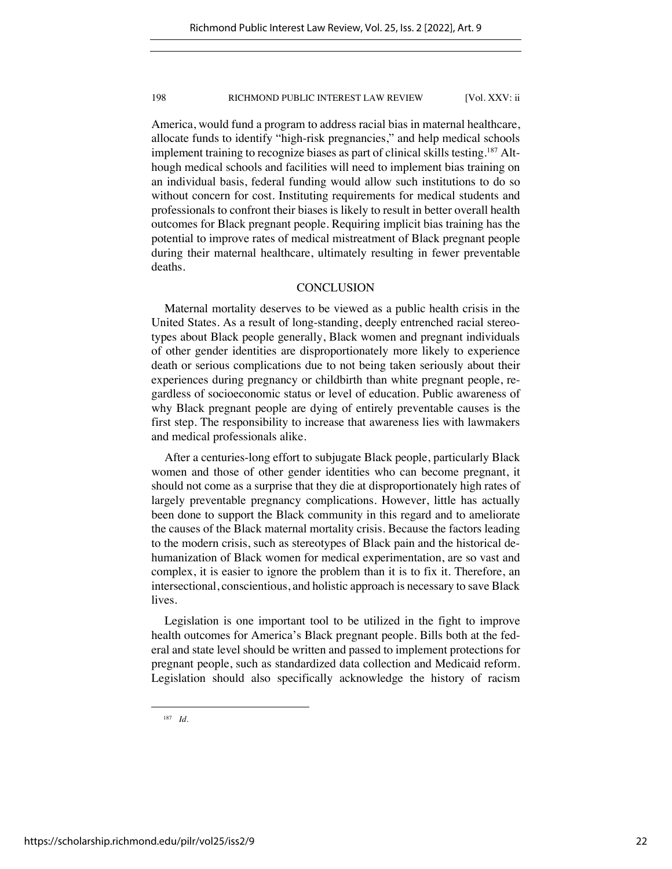America, would fund a program to address racial bias in maternal healthcare, allocate funds to identify "high-risk pregnancies," and help medical schools implement training to recognize biases as part of clinical skills testing.<sup>187</sup> Although medical schools and facilities will need to implement bias training on an individual basis, federal funding would allow such institutions to do so without concern for cost. Instituting requirements for medical students and professionals to confront their biases is likely to result in better overall health outcomes for Black pregnant people. Requiring implicit bias training has the potential to improve rates of medical mistreatment of Black pregnant people during their maternal healthcare, ultimately resulting in fewer preventable deaths.

## **CONCLUSION**

Maternal mortality deserves to be viewed as a public health crisis in the United States. As a result of long-standing, deeply entrenched racial stereotypes about Black people generally, Black women and pregnant individuals of other gender identities are disproportionately more likely to experience death or serious complications due to not being taken seriously about their experiences during pregnancy or childbirth than white pregnant people, regardless of socioeconomic status or level of education. Public awareness of why Black pregnant people are dying of entirely preventable causes is the first step. The responsibility to increase that awareness lies with lawmakers and medical professionals alike.

After a centuries-long effort to subjugate Black people, particularly Black women and those of other gender identities who can become pregnant, it should not come as a surprise that they die at disproportionately high rates of largely preventable pregnancy complications. However, little has actually been done to support the Black community in this regard and to ameliorate the causes of the Black maternal mortality crisis. Because the factors leading to the modern crisis, such as stereotypes of Black pain and the historical dehumanization of Black women for medical experimentation, are so vast and complex, it is easier to ignore the problem than it is to fix it. Therefore, an intersectional, conscientious, and holistic approach is necessary to save Black lives.

Legislation is one important tool to be utilized in the fight to improve health outcomes for America's Black pregnant people. Bills both at the federal and state level should be written and passed to implement protections for pregnant people, such as standardized data collection and Medicaid reform. Legislation should also specifically acknowledge the history of racism

<sup>187</sup> *Id*.